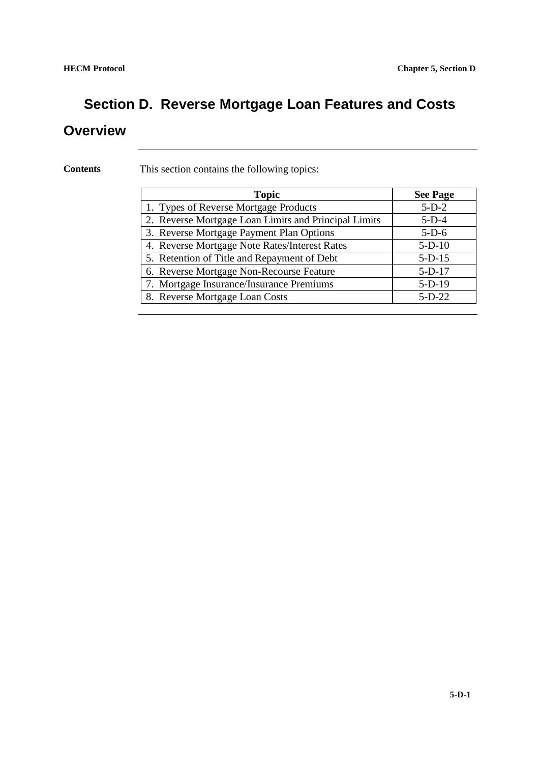## **Section D. Reverse Mortgage Loan Features and Costs**

#### **Overview**

**Contents** This section contains the following topics:

| <b>Topic</b>                                         | <b>See Page</b> |
|------------------------------------------------------|-----------------|
| 1. Types of Reverse Mortgage Products                | $5-D-2$         |
| 2. Reverse Mortgage Loan Limits and Principal Limits | $5-D-4$         |
| 3. Reverse Mortgage Payment Plan Options             | $5-D-6$         |
| 4. Reverse Mortgage Note Rates/Interest Rates        | $5-D-10$        |
| 5. Retention of Title and Repayment of Debt          | $5-D-15$        |
| 6. Reverse Mortgage Non-Recourse Feature             | $5-D-17$        |
| 7. Mortgage Insurance/Insurance Premiums             | $5-D-19$        |
| 8. Reverse Mortgage Loan Costs                       | $5-D-22$        |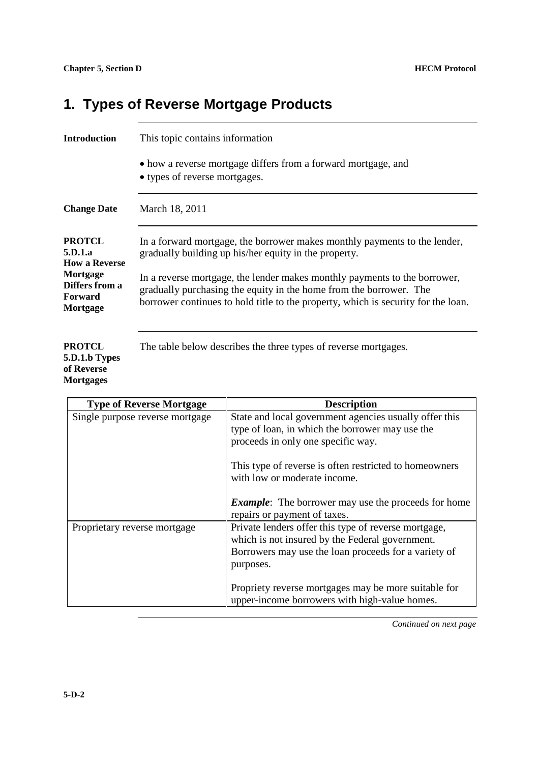#### **1. Types of Reverse Mortgage Products**

| <b>Introduction</b>                               | This topic contains information                                                                                                                                                                                                      |
|---------------------------------------------------|--------------------------------------------------------------------------------------------------------------------------------------------------------------------------------------------------------------------------------------|
|                                                   | • how a reverse mortgage differs from a forward mortgage, and<br>• types of reverse mortgages.                                                                                                                                       |
| <b>Change Date</b>                                | March 18, 2011                                                                                                                                                                                                                       |
| <b>PROTCL</b><br>5.D.1.a<br><b>How a Reverse</b>  | In a forward mortgage, the borrower makes monthly payments to the lender,<br>gradually building up his/her equity in the property.                                                                                                   |
| Mortgage<br>Differs from a<br>Forward<br>Mortgage | In a reverse mortgage, the lender makes monthly payments to the borrower,<br>gradually purchasing the equity in the home from the borrower. The<br>borrower continues to hold title to the property, which is security for the loan. |
|                                                   |                                                                                                                                                                                                                                      |

**PROTCL 5.D.1.b Types of Reverse Mortgages** The table below describes the three types of reverse mortgages.

| <b>Type of Reverse Mortgage</b> | <b>Description</b>                                         |
|---------------------------------|------------------------------------------------------------|
| Single purpose reverse mortgage | State and local government agencies usually offer this     |
|                                 | type of loan, in which the borrower may use the            |
|                                 | proceeds in only one specific way.                         |
|                                 | This type of reverse is often restricted to homeowners     |
|                                 | with low or moderate income.                               |
|                                 |                                                            |
|                                 | <b>Example:</b> The borrower may use the proceeds for home |
|                                 | repairs or payment of taxes.                               |
| Proprietary reverse mortgage    | Private lenders offer this type of reverse mortgage,       |
|                                 | which is not insured by the Federal government.            |
|                                 | Borrowers may use the loan proceeds for a variety of       |
|                                 | purposes.                                                  |
|                                 | Propriety reverse mortgages may be more suitable for       |
|                                 | upper-income borrowers with high-value homes.              |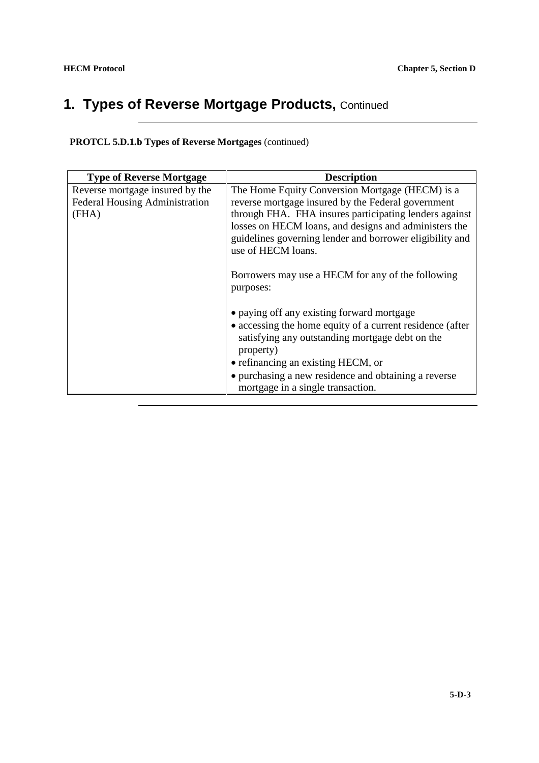## **1. Types of Reverse Mortgage Products, Continued**

**PROTCL 5.D.1.b Types of Reverse Mortgages** (continued)

| <b>Type of Reverse Mortgage</b> | <b>Description</b>                                        |
|---------------------------------|-----------------------------------------------------------|
| Reverse mortgage insured by the | The Home Equity Conversion Mortgage (HECM) is a           |
| Federal Housing Administration  | reverse mortgage insured by the Federal government        |
| (FHA)                           | through FHA. FHA insures participating lenders against    |
|                                 | losses on HECM loans, and designs and administers the     |
|                                 | guidelines governing lender and borrower eligibility and  |
|                                 | use of HECM loans.                                        |
|                                 |                                                           |
|                                 | Borrowers may use a HECM for any of the following         |
|                                 | purposes:                                                 |
|                                 |                                                           |
|                                 | • paying off any existing forward mortgage                |
|                                 | • accessing the home equity of a current residence (after |
|                                 | satisfying any outstanding mortgage debt on the           |
|                                 | property)                                                 |
|                                 | • refinancing an existing HECM, or                        |
|                                 | • purchasing a new residence and obtaining a reverse      |
|                                 | mortgage in a single transaction.                         |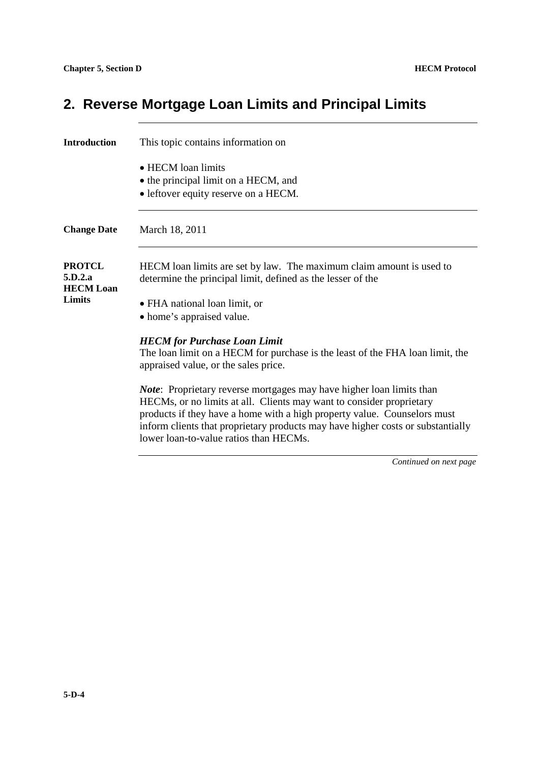## **2. Reverse Mortgage Loan Limits and Principal Limits**

| Introduction                                                  | This topic contains information on                                                                                                                                                                                                                                                                                                                            |
|---------------------------------------------------------------|---------------------------------------------------------------------------------------------------------------------------------------------------------------------------------------------------------------------------------------------------------------------------------------------------------------------------------------------------------------|
|                                                               | • HECM loan limits<br>• the principal limit on a HECM, and<br>• leftover equity reserve on a HECM.                                                                                                                                                                                                                                                            |
| <b>Change Date</b>                                            | March 18, 2011                                                                                                                                                                                                                                                                                                                                                |
| <b>PROTCL</b><br>5.D.2.a<br><b>HECM Loan</b><br><b>Limits</b> | HECM loan limits are set by law. The maximum claim amount is used to<br>determine the principal limit, defined as the lesser of the<br>• FHA national loan limit, or<br>• home's appraised value.                                                                                                                                                             |
|                                                               | <b>HECM</b> for Purchase Loan Limit<br>The loan limit on a HECM for purchase is the least of the FHA loan limit, the<br>appraised value, or the sales price.                                                                                                                                                                                                  |
|                                                               | <i>Note</i> : Proprietary reverse mortgages may have higher loan limits than<br>HECMs, or no limits at all. Clients may want to consider proprietary<br>products if they have a home with a high property value. Counselors must<br>inform clients that proprietary products may have higher costs or substantially<br>lower loan-to-value ratios than HECMs. |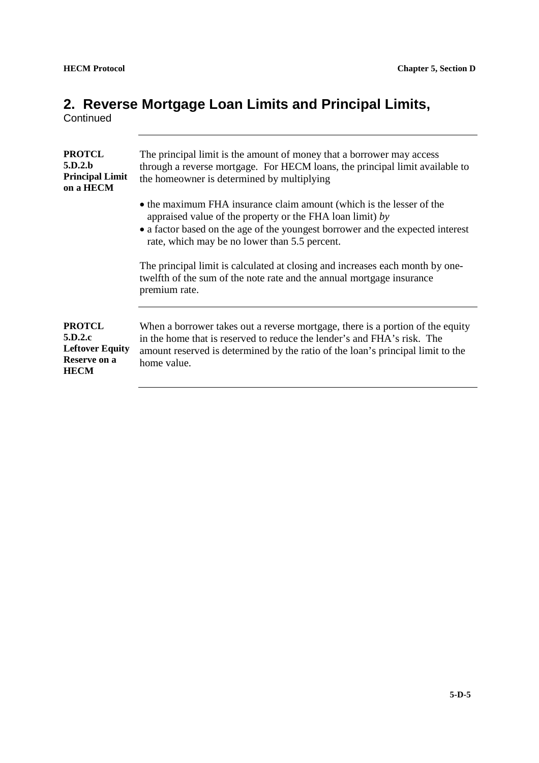#### **2. Reverse Mortgage Loan Limits and Principal Limits,**

**Continued** 

| The principal limit is the amount of money that a borrower may access<br>through a reverse mortgage. For HECM loans, the principal limit available to<br>the homeowner is determined by multiplying                                                                  |
|----------------------------------------------------------------------------------------------------------------------------------------------------------------------------------------------------------------------------------------------------------------------|
| • the maximum FHA insurance claim amount (which is the lesser of the<br>appraised value of the property or the FHA loan limit) by<br>• a factor based on the age of the youngest borrower and the expected interest<br>rate, which may be no lower than 5.5 percent. |
| The principal limit is calculated at closing and increases each month by one-<br>twelfth of the sum of the note rate and the annual mortgage insurance<br>premium rate.                                                                                              |
| When a borrower takes out a reverse mortgage, there is a portion of the equity<br>in the home that is reserved to reduce the lender's and FHA's risk. The<br>amount reserved is determined by the ratio of the loan's principal limit to the<br>home value.          |
|                                                                                                                                                                                                                                                                      |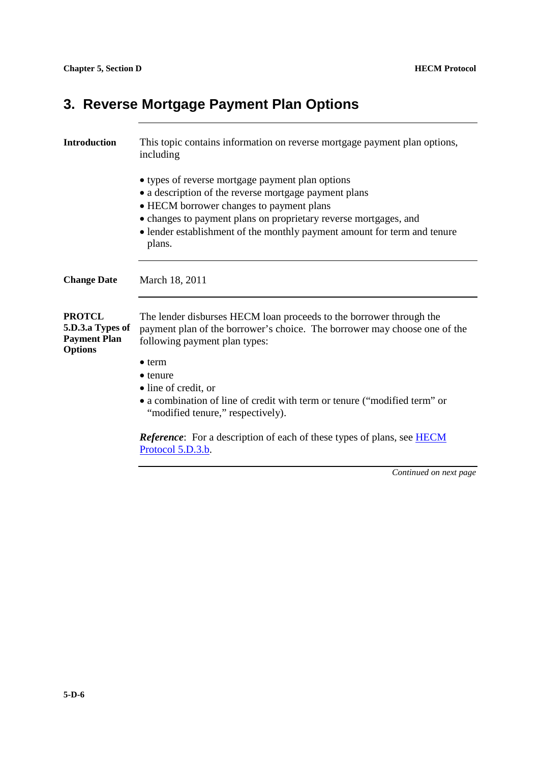## **3. Reverse Mortgage Payment Plan Options**

| <b>Introduction</b>                                                        | This topic contains information on reverse mortgage payment plan options,<br>including                                                                                                                                                                                                                          |
|----------------------------------------------------------------------------|-----------------------------------------------------------------------------------------------------------------------------------------------------------------------------------------------------------------------------------------------------------------------------------------------------------------|
|                                                                            | • types of reverse mortgage payment plan options<br>• a description of the reverse mortgage payment plans<br>• HECM borrower changes to payment plans<br>• changes to payment plans on proprietary reverse mortgages, and<br>• lender establishment of the monthly payment amount for term and tenure<br>plans. |
| <b>Change Date</b>                                                         | March 18, 2011                                                                                                                                                                                                                                                                                                  |
| <b>PROTCL</b><br>5.D.3.a Types of<br><b>Payment Plan</b><br><b>Options</b> | The lender disburses HECM loan proceeds to the borrower through the<br>payment plan of the borrower's choice. The borrower may choose one of the<br>following payment plan types:                                                                                                                               |
|                                                                            | $\bullet$ term<br>$\bullet$ tenure<br>· line of credit, or<br>• a combination of line of credit with term or tenure ("modified term" or<br>"modified tenure," respectively).                                                                                                                                    |
|                                                                            | <b>Reference:</b> For a description of each of these types of plans, see <b>HECM</b><br>Protocol 5.D.3.b.                                                                                                                                                                                                       |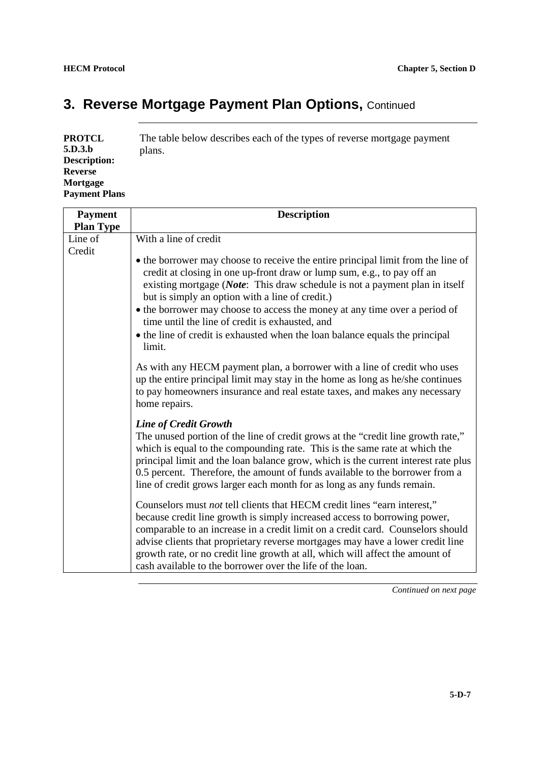## **3. Reverse Mortgage Payment Plan Options, Continued**

| PROTCL               | The table below describes each of the types of reverse mortgage payment |
|----------------------|-------------------------------------------------------------------------|
| 5.D.3.b              | plans.                                                                  |
| <b>Description:</b>  |                                                                         |
| Reverse              |                                                                         |
| Mortgage             |                                                                         |
| <b>Payment Plans</b> |                                                                         |

| <b>Payment</b>   | <b>Description</b>                                                                                                                                                                                                                                                                                                                                                                                                                                                                                                       |
|------------------|--------------------------------------------------------------------------------------------------------------------------------------------------------------------------------------------------------------------------------------------------------------------------------------------------------------------------------------------------------------------------------------------------------------------------------------------------------------------------------------------------------------------------|
| <b>Plan Type</b> |                                                                                                                                                                                                                                                                                                                                                                                                                                                                                                                          |
| Line of          | With a line of credit                                                                                                                                                                                                                                                                                                                                                                                                                                                                                                    |
| Credit           | • the borrower may choose to receive the entire principal limit from the line of<br>credit at closing in one up-front draw or lump sum, e.g., to pay off an<br>existing mortgage (Note: This draw schedule is not a payment plan in itself<br>but is simply an option with a line of credit.)<br>• the borrower may choose to access the money at any time over a period of<br>time until the line of credit is exhausted, and<br>• the line of credit is exhausted when the loan balance equals the principal<br>limit. |
|                  | As with any HECM payment plan, a borrower with a line of credit who uses<br>up the entire principal limit may stay in the home as long as he/she continues<br>to pay homeowners insurance and real estate taxes, and makes any necessary<br>home repairs.                                                                                                                                                                                                                                                                |
|                  | <b>Line of Credit Growth</b><br>The unused portion of the line of credit grows at the "credit line growth rate,"<br>which is equal to the compounding rate. This is the same rate at which the<br>principal limit and the loan balance grow, which is the current interest rate plus<br>0.5 percent. Therefore, the amount of funds available to the borrower from a<br>line of credit grows larger each month for as long as any funds remain.                                                                          |
|                  | Counselors must not tell clients that HECM credit lines "earn interest,"<br>because credit line growth is simply increased access to borrowing power,<br>comparable to an increase in a credit limit on a credit card. Counselors should<br>advise clients that proprietary reverse mortgages may have a lower credit line<br>growth rate, or no credit line growth at all, which will affect the amount of<br>cash available to the borrower over the life of the loan.                                                 |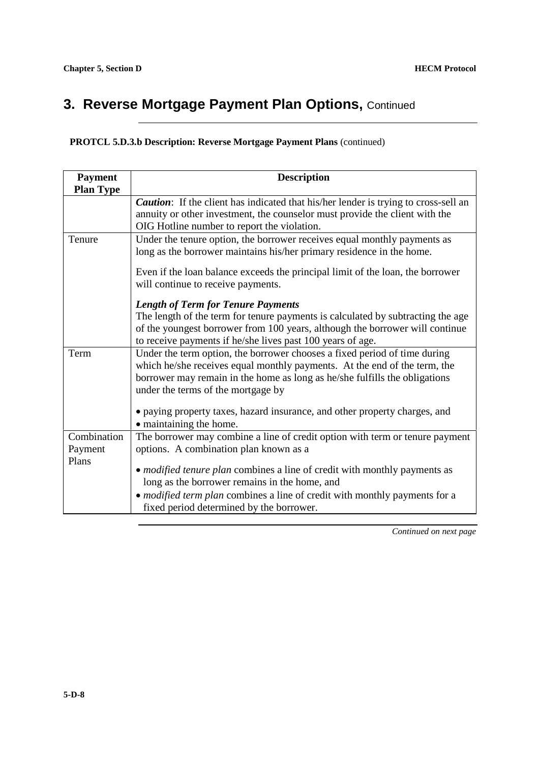#### **3. Reverse Mortgage Payment Plan Options, Continued**

**PROTCL 5.D.3.b Description: Reverse Mortgage Payment Plans** (continued)

| <b>Payment</b>                  | <b>Description</b>                                                                                                                                                                                                                                                         |
|---------------------------------|----------------------------------------------------------------------------------------------------------------------------------------------------------------------------------------------------------------------------------------------------------------------------|
| <b>Plan Type</b>                |                                                                                                                                                                                                                                                                            |
|                                 | Caution: If the client has indicated that his/her lender is trying to cross-sell an                                                                                                                                                                                        |
|                                 | annuity or other investment, the counselor must provide the client with the                                                                                                                                                                                                |
|                                 | OIG Hotline number to report the violation.                                                                                                                                                                                                                                |
| Tenure                          | Under the tenure option, the borrower receives equal monthly payments as<br>long as the borrower maintains his/her primary residence in the home.                                                                                                                          |
|                                 | Even if the loan balance exceeds the principal limit of the loan, the borrower<br>will continue to receive payments.                                                                                                                                                       |
|                                 | <b>Length of Term for Tenure Payments</b>                                                                                                                                                                                                                                  |
|                                 | The length of the term for tenure payments is calculated by subtracting the age<br>of the youngest borrower from 100 years, although the borrower will continue<br>to receive payments if he/she lives past 100 years of age.                                              |
| Term                            | Under the term option, the borrower chooses a fixed period of time during<br>which he/she receives equal monthly payments. At the end of the term, the<br>borrower may remain in the home as long as he/she fulfills the obligations<br>under the terms of the mortgage by |
|                                 | • paying property taxes, hazard insurance, and other property charges, and<br>• maintaining the home.                                                                                                                                                                      |
| Combination<br>Payment<br>Plans | The borrower may combine a line of credit option with term or tenure payment<br>options. A combination plan known as a                                                                                                                                                     |
|                                 | • <i>modified tenure plan</i> combines a line of credit with monthly payments as<br>long as the borrower remains in the home, and                                                                                                                                          |
|                                 | • <i>modified term plan</i> combines a line of credit with monthly payments for a<br>fixed period determined by the borrower.                                                                                                                                              |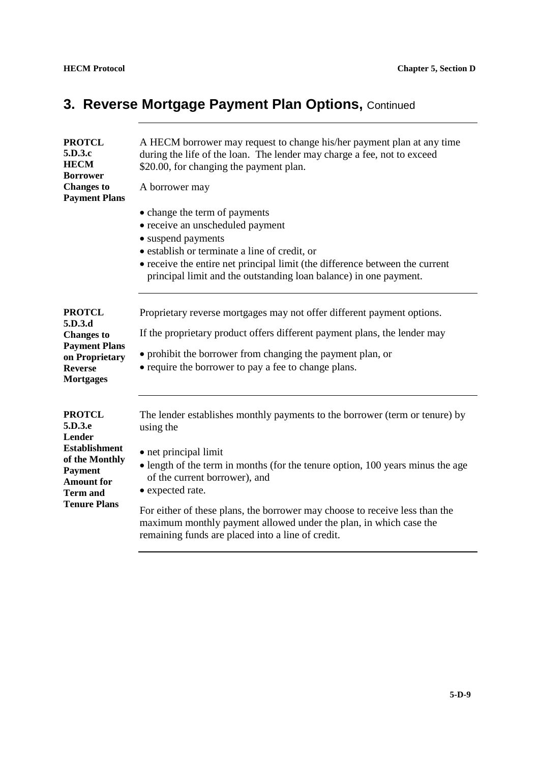## **3. Reverse Mortgage Payment Plan Options, Continued**

| <b>PROTCL</b><br>5.D.3.c<br><b>HECM</b><br><b>Borrower</b><br><b>Changes to</b><br><b>Payment Plans</b>                                                              | A HECM borrower may request to change his/her payment plan at any time<br>during the life of the loan. The lender may charge a fee, not to exceed<br>\$20.00, for changing the payment plan.<br>A borrower may<br>• change the term of payments<br>• receive an unscheduled payment<br>• suspend payments<br>· establish or terminate a line of credit, or<br>• receive the entire net principal limit (the difference between the current<br>principal limit and the outstanding loan balance) in one payment. |
|----------------------------------------------------------------------------------------------------------------------------------------------------------------------|-----------------------------------------------------------------------------------------------------------------------------------------------------------------------------------------------------------------------------------------------------------------------------------------------------------------------------------------------------------------------------------------------------------------------------------------------------------------------------------------------------------------|
| <b>PROTCL</b><br>5.D.3.d<br><b>Changes to</b><br><b>Payment Plans</b><br>on Proprietary<br><b>Reverse</b><br><b>Mortgages</b>                                        | Proprietary reverse mortgages may not offer different payment options.<br>If the proprietary product offers different payment plans, the lender may<br>• prohibit the borrower from changing the payment plan, or<br>• require the borrower to pay a fee to change plans.                                                                                                                                                                                                                                       |
| <b>PROTCL</b><br>5.D.3.e<br><b>Lender</b><br><b>Establishment</b><br>of the Monthly<br><b>Payment</b><br><b>Amount for</b><br><b>Term and</b><br><b>Tenure Plans</b> | The lender establishes monthly payments to the borrower (term or tenure) by<br>using the<br>• net principal limit<br>• length of the term in months (for the tenure option, 100 years minus the age<br>of the current borrower), and<br>• expected rate.<br>For either of these plans, the borrower may choose to receive less than the<br>maximum monthly payment allowed under the plan, in which case the<br>remaining funds are placed into a line of credit.                                               |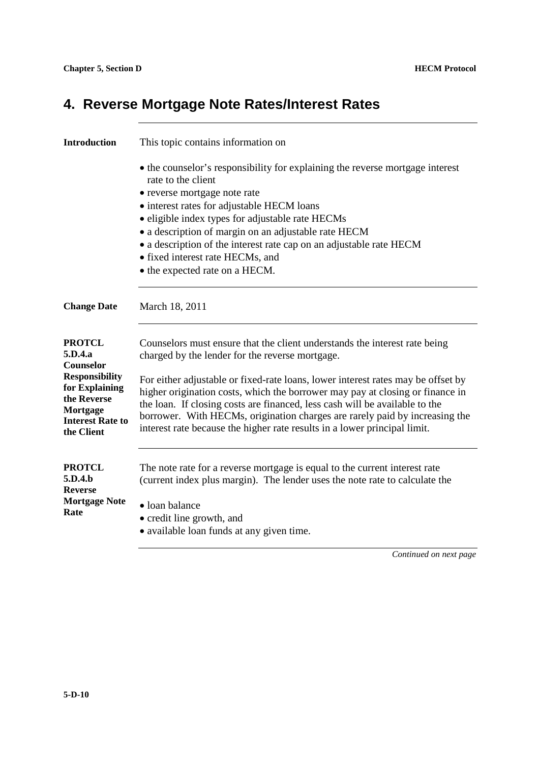## **4. Reverse Mortgage Note Rates/Interest Rates**

| <b>Introduction</b>                                                                                                                                  | This topic contains information on                                                                                                                                                                                                                                                                                                                                                                                                                                                                                                            |
|------------------------------------------------------------------------------------------------------------------------------------------------------|-----------------------------------------------------------------------------------------------------------------------------------------------------------------------------------------------------------------------------------------------------------------------------------------------------------------------------------------------------------------------------------------------------------------------------------------------------------------------------------------------------------------------------------------------|
|                                                                                                                                                      | • the counselor's responsibility for explaining the reverse mortgage interest<br>rate to the client<br>• reverse mortgage note rate<br>• interest rates for adjustable HECM loans<br>• eligible index types for adjustable rate HECMs<br>• a description of margin on an adjustable rate HECM<br>• a description of the interest rate cap on an adjustable rate HECM<br>• fixed interest rate HECMs, and<br>• the expected rate on a HECM.                                                                                                    |
| <b>Change Date</b>                                                                                                                                   | March 18, 2011                                                                                                                                                                                                                                                                                                                                                                                                                                                                                                                                |
| <b>PROTCL</b><br>5.D.4.a<br>Counselor<br><b>Responsibility</b><br>for Explaining<br>the Reverse<br>Mortgage<br><b>Interest Rate to</b><br>the Client | Counselors must ensure that the client understands the interest rate being<br>charged by the lender for the reverse mortgage.<br>For either adjustable or fixed-rate loans, lower interest rates may be offset by<br>higher origination costs, which the borrower may pay at closing or finance in<br>the loan. If closing costs are financed, less cash will be available to the<br>borrower. With HECMs, origination charges are rarely paid by increasing the<br>interest rate because the higher rate results in a lower principal limit. |
| <b>PROTCL</b><br>5.D.4.b<br><b>Reverse</b><br><b>Mortgage Note</b><br>Rate                                                                           | The note rate for a reverse mortgage is equal to the current interest rate<br>(current index plus margin). The lender uses the note rate to calculate the<br>• loan balance<br>• credit line growth, and<br>• available loan funds at any given time.<br>Continued on next page                                                                                                                                                                                                                                                               |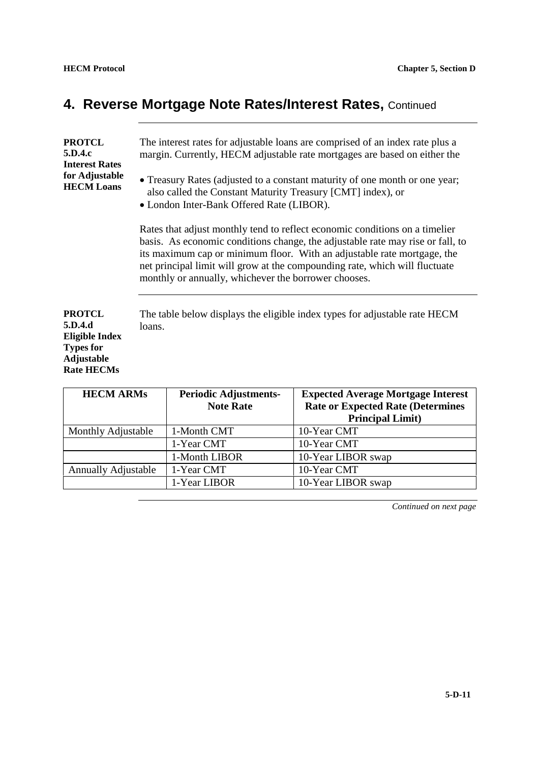## **4. Reverse Mortgage Note Rates/Interest Rates,** Continued

| <b>PROTCL</b><br>5.D.4.c<br><b>Interest Rates</b><br>for Adjustable<br><b>HECM Loans</b>                        | The interest rates for adjustable loans are comprised of an index rate plus a<br>margin. Currently, HECM adjustable rate mortgages are based on either the<br>• Treasury Rates (adjusted to a constant maturity of one month or one year;<br>also called the Constant Maturity Treasury [CMT] index), or<br>• London Inter-Bank Offered Rate (LIBOR).                           |
|-----------------------------------------------------------------------------------------------------------------|---------------------------------------------------------------------------------------------------------------------------------------------------------------------------------------------------------------------------------------------------------------------------------------------------------------------------------------------------------------------------------|
|                                                                                                                 | Rates that adjust monthly tend to reflect economic conditions on a timelier<br>basis. As economic conditions change, the adjustable rate may rise or fall, to<br>its maximum cap or minimum floor. With an adjustable rate mortgage, the<br>net principal limit will grow at the compounding rate, which will fluctuate<br>monthly or annually, whichever the borrower chooses. |
| <b>PROTCL</b><br>5.D.4.d<br><b>Eligible Index</b><br><b>Types for</b><br><b>Adjustable</b><br><b>Rate HECMs</b> | The table below displays the eligible index types for adjustable rate HECM<br>loans.                                                                                                                                                                                                                                                                                            |

| <b>HECM ARMS</b>           | <b>Periodic Adjustments-</b><br><b>Note Rate</b> | <b>Expected Average Mortgage Interest</b><br><b>Rate or Expected Rate (Determines</b><br><b>Principal Limit)</b> |
|----------------------------|--------------------------------------------------|------------------------------------------------------------------------------------------------------------------|
| Monthly Adjustable         | 1-Month CMT                                      | 10-Year CMT                                                                                                      |
|                            | 1-Year CMT                                       | 10-Year CMT                                                                                                      |
|                            | 1-Month LIBOR                                    | 10-Year LIBOR swap                                                                                               |
| <b>Annually Adjustable</b> | 1-Year CMT                                       | 10-Year CMT                                                                                                      |
|                            | 1-Year LIBOR                                     | 10-Year LIBOR swap                                                                                               |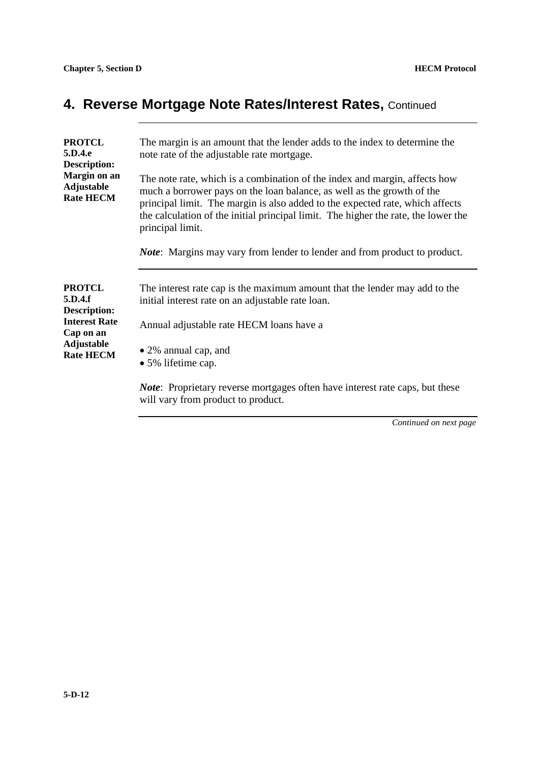## **4. Reverse Mortgage Note Rates/Interest Rates,** Continued

| <b>PROTCL</b><br>5.D.4.e<br>Description:              | The margin is an amount that the lender adds to the index to determine the<br>note rate of the adjustable rate mortgage.                                                                                                                                                                                                                        |
|-------------------------------------------------------|-------------------------------------------------------------------------------------------------------------------------------------------------------------------------------------------------------------------------------------------------------------------------------------------------------------------------------------------------|
| Margin on an<br><b>Adjustable</b><br><b>Rate HECM</b> | The note rate, which is a combination of the index and margin, affects how<br>much a borrower pays on the loan balance, as well as the growth of the<br>principal limit. The margin is also added to the expected rate, which affects<br>the calculation of the initial principal limit. The higher the rate, the lower the<br>principal limit. |
|                                                       | <i>Note</i> : Margins may vary from lender to lender and from product to product.                                                                                                                                                                                                                                                               |
| <b>PROTCL</b><br>5.D.4.f<br>Description:              | The interest rate cap is the maximum amount that the lender may add to the<br>initial interest rate on an adjustable rate loan.                                                                                                                                                                                                                 |
| <b>Interest Rate</b><br>Cap on an                     | Annual adjustable rate HECM loans have a                                                                                                                                                                                                                                                                                                        |
| <b>Adjustable</b><br><b>Rate HECM</b>                 | • 2% annual cap, and<br>• 5% lifetime cap.                                                                                                                                                                                                                                                                                                      |
|                                                       | <i>Note</i> : Proprietary reverse mortgages often have interest rate caps, but these<br>will vary from product to product.                                                                                                                                                                                                                      |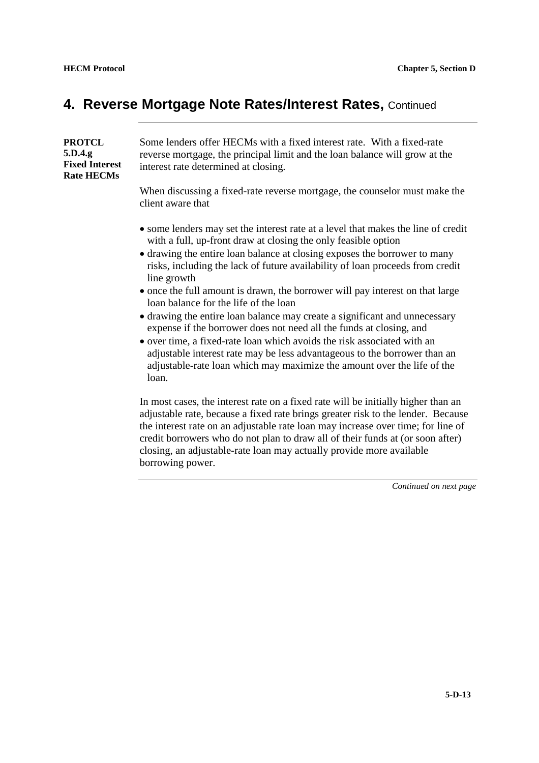loan.

#### **4. Reverse Mortgage Note Rates/Interest Rates,** Continued

| <b>PROTCL</b><br>5.D.4.g<br><b>Fixed Interest</b><br><b>Rate HECMs</b> | Some lenders offer HECMs with a fixed interest rate. With a fixed-rate<br>reverse mortgage, the principal limit and the loan balance will grow at the<br>interest rate determined at closing. |
|------------------------------------------------------------------------|-----------------------------------------------------------------------------------------------------------------------------------------------------------------------------------------------|
|                                                                        | When discussing a fixed-rate reverse mortgage, the counselor must make the<br>client aware that                                                                                               |
|                                                                        | • some lenders may set the interest rate at a level that makes the line of credit<br>with a full, up-front draw at closing the only feasible option                                           |
|                                                                        | • drawing the entire loan balance at closing exposes the borrower to many<br>risks, including the lack of future availability of loan proceeds from credit<br>line growth                     |
|                                                                        | • once the full amount is drawn, the borrower will pay interest on that large<br>loan balance for the life of the loan                                                                        |
|                                                                        | • drawing the entire loan balance may create a significant and unnecessary<br>expense if the borrower does not need all the funds at closing, and                                             |
|                                                                        | • over time, a fixed-rate loan which avoids the risk associated with an<br>adjustable interest rate may be less advantageous to the borrower than an                                          |

In most cases, the interest rate on a fixed rate will be initially higher than an adjustable rate, because a fixed rate brings greater risk to the lender. Because the interest rate on an adjustable rate loan may increase over time; for line of credit borrowers who do not plan to draw all of their funds at (or soon after) closing, an adjustable-rate loan may actually provide more available borrowing power.

adjustable-rate loan which may maximize the amount over the life of the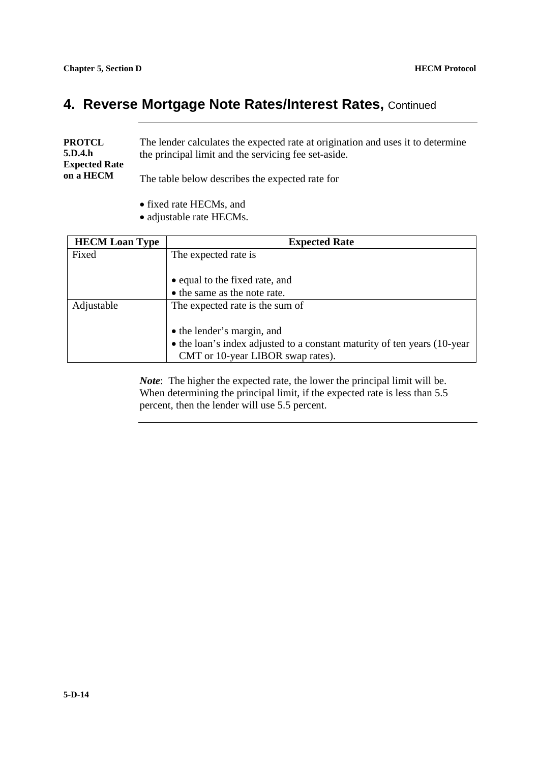#### **4. Reverse Mortgage Note Rates/Interest Rates,** Continued

| <b>PROTCL</b><br>5.D.4.h<br><b>Expected Rate</b><br>on a HECM | The lender calculates the expected rate at origination and uses it to determine<br>the principal limit and the servicing fee set-aside. |
|---------------------------------------------------------------|-----------------------------------------------------------------------------------------------------------------------------------------|
|                                                               | The table below describes the expected rate for                                                                                         |

- fixed rate HECMs, and
- adjustable rate HECMs.

| <b>HECM Loan Type</b> | <b>Expected Rate</b>                                                                                          |
|-----------------------|---------------------------------------------------------------------------------------------------------------|
| Fixed                 | The expected rate is                                                                                          |
|                       | • equal to the fixed rate, and                                                                                |
|                       | • the same as the note rate.                                                                                  |
| Adjustable            | The expected rate is the sum of                                                                               |
|                       | • the lender's margin, and                                                                                    |
|                       | • the loan's index adjusted to a constant maturity of ten years (10-year<br>CMT or 10-year LIBOR swap rates). |

*Note*: The higher the expected rate, the lower the principal limit will be. When determining the principal limit, if the expected rate is less than 5.5 percent, then the lender will use 5.5 percent.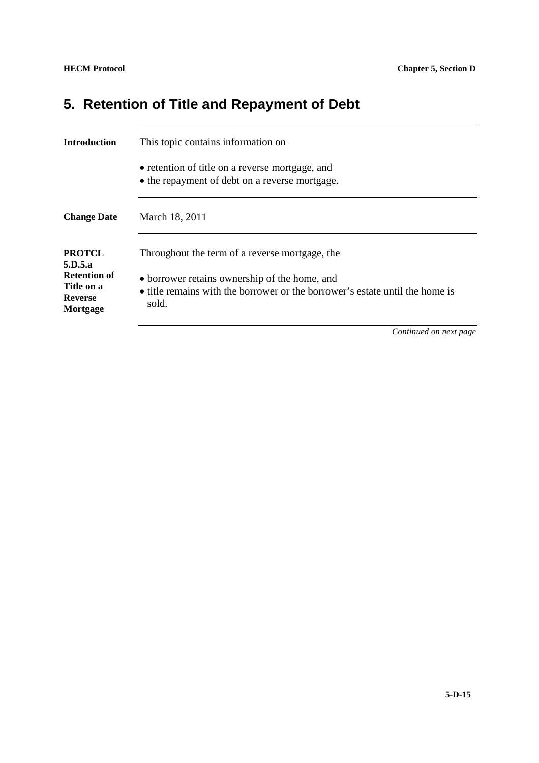# **5. Retention of Title and Repayment of Debt**

| <b>Introduction</b>                                                                         | This topic contains information on                                                                                                                                                       |
|---------------------------------------------------------------------------------------------|------------------------------------------------------------------------------------------------------------------------------------------------------------------------------------------|
|                                                                                             | • retention of title on a reverse mortgage, and<br>• the repayment of debt on a reverse mortgage.                                                                                        |
| <b>Change Date</b>                                                                          | March 18, 2011                                                                                                                                                                           |
| <b>PROTCL</b><br>5.D.5.a<br><b>Retention of</b><br>Title on a<br><b>Reverse</b><br>Mortgage | Throughout the term of a reverse mortgage, the<br>• borrower retains ownership of the home, and<br>• title remains with the borrower or the borrower's estate until the home is<br>sold. |
|                                                                                             | $\sigma$ $\cdots$ $\cdots$                                                                                                                                                               |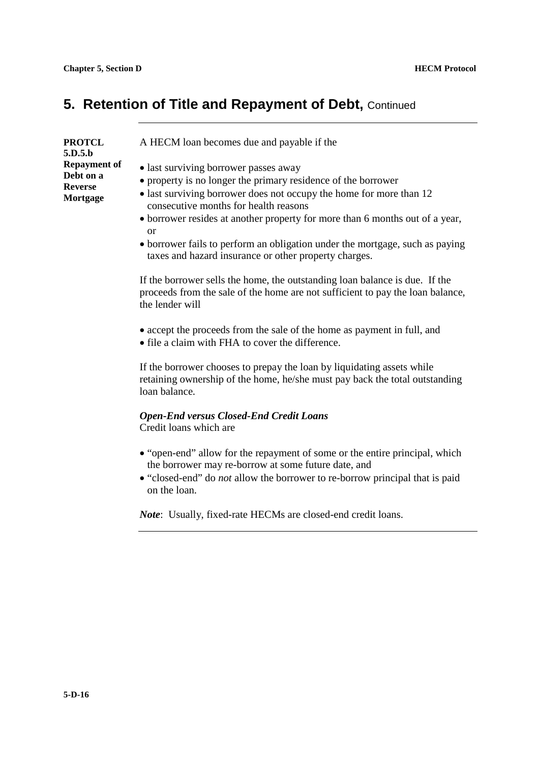#### **5. Retention of Title and Repayment of Debt, Continued**

| <b>PROTCL</b><br>5.D.5.b                                | A HECM loan becomes due and payable if the                                                                                                                                                                                                                                                                                                                                                                                                                                                                                         |
|---------------------------------------------------------|------------------------------------------------------------------------------------------------------------------------------------------------------------------------------------------------------------------------------------------------------------------------------------------------------------------------------------------------------------------------------------------------------------------------------------------------------------------------------------------------------------------------------------|
| <b>Repayment of</b><br>Debt on a<br>Reverse<br>Mortgage | • last surviving borrower passes away<br>• property is no longer the primary residence of the borrower<br>• last surviving borrower does not occupy the home for more than 12<br>consecutive months for health reasons<br>• borrower resides at another property for more than 6 months out of a year,<br>or<br>• borrower fails to perform an obligation under the mortgage, such as paying<br>taxes and hazard insurance or other property charges.<br>If the homomorealle the home, the outstanding loop holones is due. If the |

If the borrower sells the home, the outstanding loan balance is due. If the proceeds from the sale of the home are not sufficient to pay the loan balance, the lender will

- accept the proceeds from the sale of the home as payment in full, and
- file a claim with FHA to cover the difference.

If the borrower chooses to prepay the loan by liquidating assets while retaining ownership of the home, he/she must pay back the total outstanding loan balance.

#### *Open-End versus Closed-End Credit Loans*

Credit loans which are

- "open-end" allow for the repayment of some or the entire principal, which the borrower may re-borrow at some future date, and
- "closed-end" do *not* allow the borrower to re-borrow principal that is paid on the loan.

*Note*: Usually, fixed-rate HECMs are closed-end credit loans.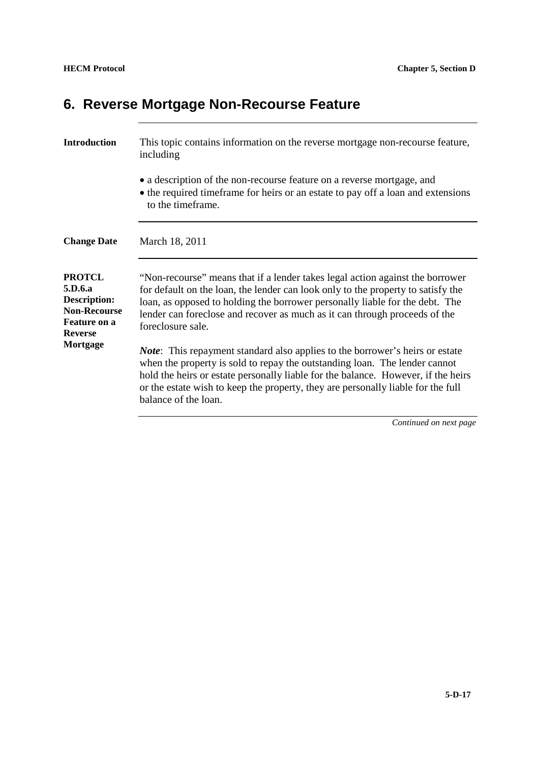## **6. Reverse Mortgage Non-Recourse Feature**

| <b>Introduction</b>                                                                                             | This topic contains information on the reverse mortgage non-recourse feature,<br>including                                                                                                                                                                                                                                                                          |
|-----------------------------------------------------------------------------------------------------------------|---------------------------------------------------------------------------------------------------------------------------------------------------------------------------------------------------------------------------------------------------------------------------------------------------------------------------------------------------------------------|
|                                                                                                                 | • a description of the non-recourse feature on a reverse mortgage, and<br>• the required timeframe for heirs or an estate to pay off a loan and extensions<br>to the timeframe.                                                                                                                                                                                     |
| <b>Change Date</b>                                                                                              | March 18, 2011                                                                                                                                                                                                                                                                                                                                                      |
| <b>PROTCL</b><br>5.D.6.a<br><b>Description:</b><br><b>Non-Recourse</b><br><b>Feature on a</b><br><b>Reverse</b> | "Non-recourse" means that if a lender takes legal action against the borrower<br>for default on the loan, the lender can look only to the property to satisfy the<br>loan, as opposed to holding the borrower personally liable for the debt. The<br>lender can foreclose and recover as much as it can through proceeds of the<br>foreclosure sale.                |
| Mortgage                                                                                                        | <i>Note</i> : This repayment standard also applies to the borrower's heirs or estate<br>when the property is sold to repay the outstanding loan. The lender cannot<br>hold the heirs or estate personally liable for the balance. However, if the heirs<br>or the estate wish to keep the property, they are personally liable for the full<br>balance of the loan. |
|                                                                                                                 | Continued on next page                                                                                                                                                                                                                                                                                                                                              |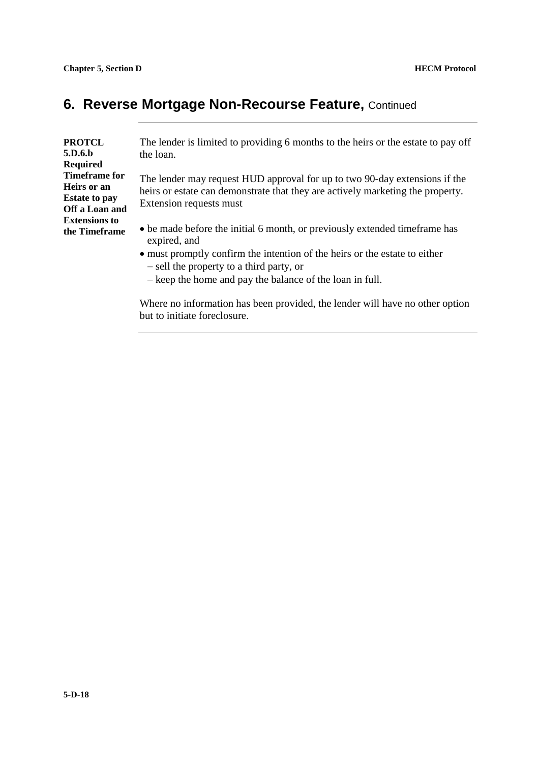#### **6. Reverse Mortgage Non-Recourse Feature, Continued**

| <b>PROTCL</b><br>5.D.6.b | The lender is limited to providing 6 months to the heirs or the estate to pay off<br>the loan. |
|--------------------------|------------------------------------------------------------------------------------------------|
| Required                 |                                                                                                |
| <b>Timeframe for</b>     | The lender may request HUD approval for up to two 90-day extensions if the                     |
| Heirs or an              | heirs or estate can demonstrate that they are actively marketing the property.                 |
| <b>Estate to pay</b>     | Extension requests must                                                                        |
| Off a Loan and           |                                                                                                |
| <b>Extensions to</b>     |                                                                                                |
| the Timeframe            | • be made before the initial 6 month, or previously extended time frame has<br>expired, and    |
|                          | • must promptly confirm the intention of the heirs or the estate to either                     |
|                          | - sell the property to a third party, or                                                       |

- keep the home and pay the balance of the loan in full.

Where no information has been provided, the lender will have no other option but to initiate foreclosure.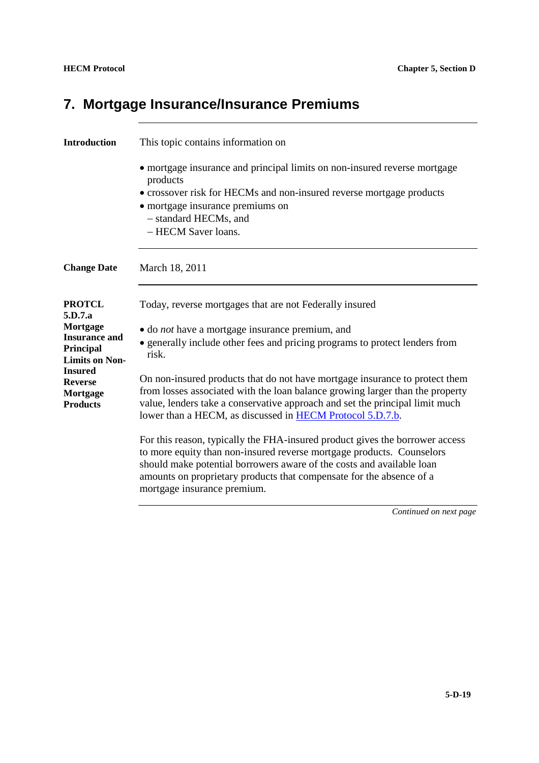# **7. Mortgage Insurance/Insurance Premiums**

| <b>Introduction</b>                                                                                                                                                   | This topic contains information on                                                                                                                                                                                                                                                                                                                                                                                                                                                                                                                                                                                                                                                                                                                                                                                                                                     |
|-----------------------------------------------------------------------------------------------------------------------------------------------------------------------|------------------------------------------------------------------------------------------------------------------------------------------------------------------------------------------------------------------------------------------------------------------------------------------------------------------------------------------------------------------------------------------------------------------------------------------------------------------------------------------------------------------------------------------------------------------------------------------------------------------------------------------------------------------------------------------------------------------------------------------------------------------------------------------------------------------------------------------------------------------------|
|                                                                                                                                                                       | • mortgage insurance and principal limits on non-insured reverse mortgage<br>products<br>• crossover risk for HECMs and non-insured reverse mortgage products<br>• mortgage insurance premiums on<br>- standard HECMs, and<br>- HECM Saver loans.                                                                                                                                                                                                                                                                                                                                                                                                                                                                                                                                                                                                                      |
| <b>Change Date</b>                                                                                                                                                    | March 18, 2011                                                                                                                                                                                                                                                                                                                                                                                                                                                                                                                                                                                                                                                                                                                                                                                                                                                         |
| <b>PROTCL</b><br>5.D.7.a<br>Mortgage<br><b>Insurance and</b><br>Principal<br><b>Limits on Non-</b><br><b>Insured</b><br><b>Reverse</b><br>Mortgage<br><b>Products</b> | Today, reverse mortgages that are not Federally insured<br>• do <i>not</i> have a mortgage insurance premium, and<br>• generally include other fees and pricing programs to protect lenders from<br>risk.<br>On non-insured products that do not have mortgage insurance to protect them<br>from losses associated with the loan balance growing larger than the property<br>value, lenders take a conservative approach and set the principal limit much<br>lower than a HECM, as discussed in <b>HECM</b> Protocol 5.D.7.b.<br>For this reason, typically the FHA-insured product gives the borrower access<br>to more equity than non-insured reverse mortgage products. Counselors<br>should make potential borrowers aware of the costs and available loan<br>amounts on proprietary products that compensate for the absence of a<br>mortgage insurance premium. |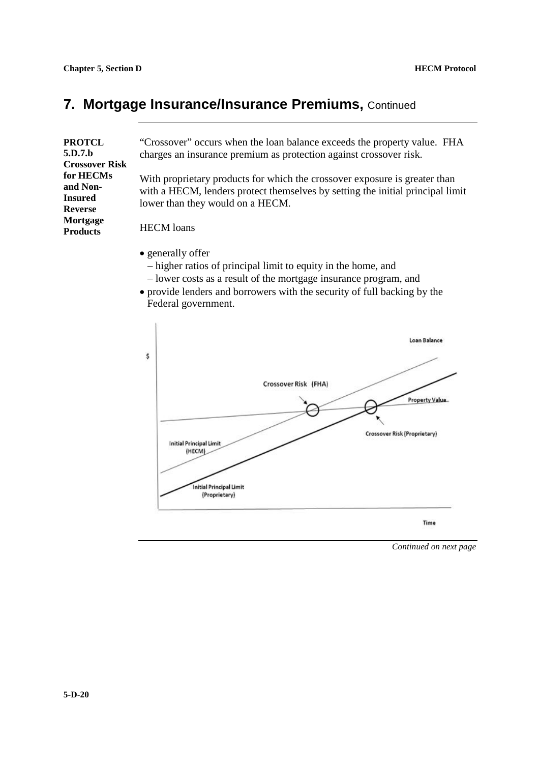#### **7. Mortgage Insurance/Insurance Premiums,** Continued

| <b>PROTCL</b><br>5.D.7.b<br><b>Crossover Risk</b> | "Crossover" occurs when the loan balance exceeds the property value. FHA<br>charges an insurance premium as protection against crossover risk.                                                   |
|---------------------------------------------------|--------------------------------------------------------------------------------------------------------------------------------------------------------------------------------------------------|
| for HECMs<br>and Non-<br>Insured<br>Reverse       | With proprietary products for which the crossover exposure is greater than<br>with a HECM, lenders protect themselves by setting the initial principal limit<br>lower than they would on a HECM. |
| Mortgage<br><b>Products</b>                       | <b>HECM</b> loans                                                                                                                                                                                |
|                                                   | • generally offer<br>- higher ratios of principal limit to equity in the home, and<br>- lower costs as a result of the mortgage insurance program, and                                           |

- lower costs as a result of the mortgage insurance program, and<br>• provide lenders and borrowers with the security of full backing by the Federal government.

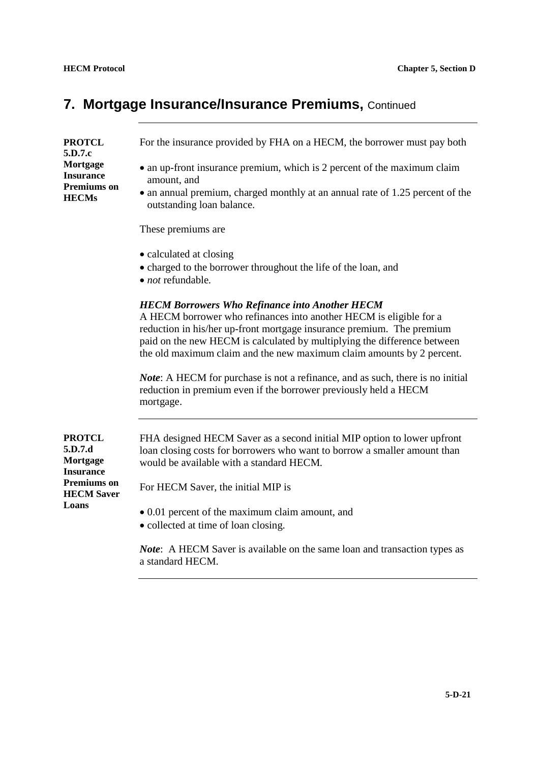# **7. Mortgage Insurance/Insurance Premiums,** Continued

| <b>PROTCL</b><br>5.D.7.c<br>Mortgage<br><b>Insurance</b><br><b>Premiums</b> on<br><b>HECMs</b>               | For the insurance provided by FHA on a HECM, the borrower must pay both                                                                                                                                                                                                                                                                                   |
|--------------------------------------------------------------------------------------------------------------|-----------------------------------------------------------------------------------------------------------------------------------------------------------------------------------------------------------------------------------------------------------------------------------------------------------------------------------------------------------|
|                                                                                                              | • an up-front insurance premium, which is 2 percent of the maximum claim<br>amount, and                                                                                                                                                                                                                                                                   |
|                                                                                                              | • an annual premium, charged monthly at an annual rate of 1.25 percent of the<br>outstanding loan balance.                                                                                                                                                                                                                                                |
|                                                                                                              | These premiums are                                                                                                                                                                                                                                                                                                                                        |
|                                                                                                              | • calculated at closing<br>• charged to the borrower throughout the life of the loan, and<br>$\bullet$ <i>not</i> refundable.                                                                                                                                                                                                                             |
|                                                                                                              | <b>HECM Borrowers Who Refinance into Another HECM</b><br>A HECM borrower who refinances into another HECM is eligible for a<br>reduction in his/her up-front mortgage insurance premium. The premium<br>paid on the new HECM is calculated by multiplying the difference between<br>the old maximum claim and the new maximum claim amounts by 2 percent. |
|                                                                                                              | <i>Note:</i> A HECM for purchase is not a refinance, and as such, there is no initial<br>reduction in premium even if the borrower previously held a HECM<br>mortgage.                                                                                                                                                                                    |
| <b>PROTCL</b><br>5.D.7.d<br>Mortgage<br><b>Insurance</b><br><b>Premiums on</b><br><b>HECM Saver</b><br>Loans | FHA designed HECM Saver as a second initial MIP option to lower upfront<br>loan closing costs for borrowers who want to borrow a smaller amount than<br>would be available with a standard HECM.                                                                                                                                                          |
|                                                                                                              | For HECM Saver, the initial MIP is                                                                                                                                                                                                                                                                                                                        |
|                                                                                                              | • 0.01 percent of the maximum claim amount, and<br>• collected at time of loan closing.                                                                                                                                                                                                                                                                   |
|                                                                                                              | <i>Note</i> : A HECM Saver is available on the same loan and transaction types as                                                                                                                                                                                                                                                                         |

a standard HECM.

**5-D-21**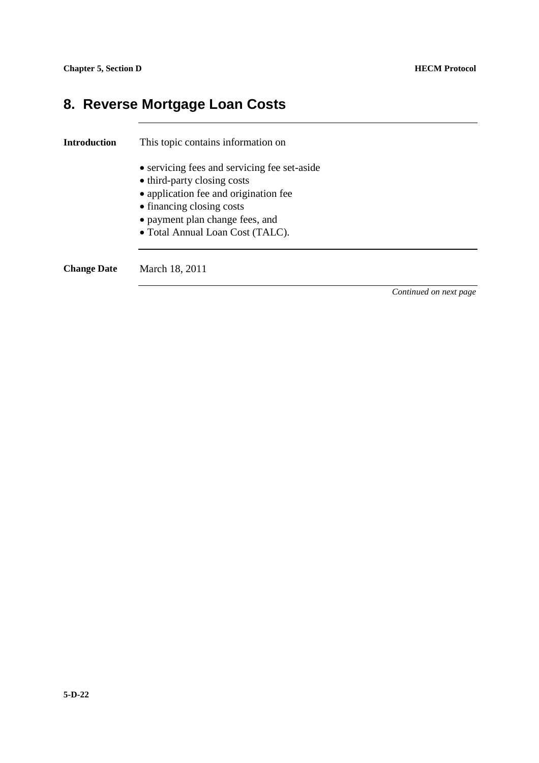## **8. Reverse Mortgage Loan Costs**

| Introduction       | This topic contains information on                                          |                        |
|--------------------|-----------------------------------------------------------------------------|------------------------|
|                    | • servicing fees and servicing fee set-aside<br>• third-party closing costs |                        |
|                    | • application fee and origination fee                                       |                        |
|                    | • financing closing costs                                                   |                        |
|                    | • payment plan change fees, and                                             |                        |
|                    | • Total Annual Loan Cost (TALC).                                            |                        |
|                    |                                                                             |                        |
| <b>Change Date</b> | March 18, 2011                                                              |                        |
|                    |                                                                             | Continued on next page |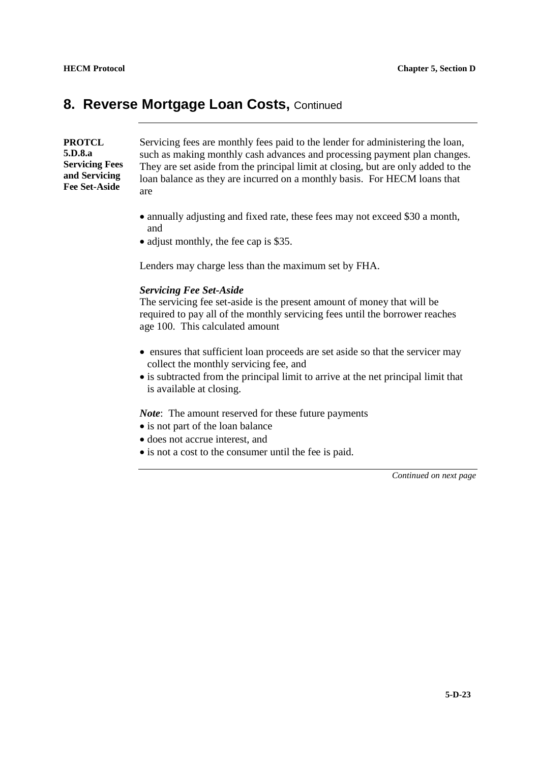#### **8. Reverse Mortgage Loan Costs, Continued**

**PROTCL 5.D.8.a Servicing Fees and Servicing Fee Set-Aside**

Servicing fees are monthly fees paid to the lender for administering the loan, such as making monthly cash advances and processing payment plan changes. They are set aside from the principal limit at closing, but are only added to the loan balance as they are incurred on a monthly basis. For HECM loans that are

- annually adjusting and fixed rate, these fees may not exceed \$30 a month, and
- adjust monthly, the fee cap is \$35.

Lenders may charge less than the maximum set by FHA.

#### *Servicing Fee Set-Aside*

The servicing fee set-aside is the present amount of money that will be required to pay all of the monthly servicing fees until the borrower reaches age 100. This calculated amount

- ensures that sufficient loan proceeds are set aside so that the servicer may collect the monthly servicing fee, and
- is subtracted from the principal limit to arrive at the net principal limit that is available at closing.

*Note*: The amount reserved for these future payments

- is not part of the loan balance
- does not accrue interest, and
- is not a cost to the consumer until the fee is paid.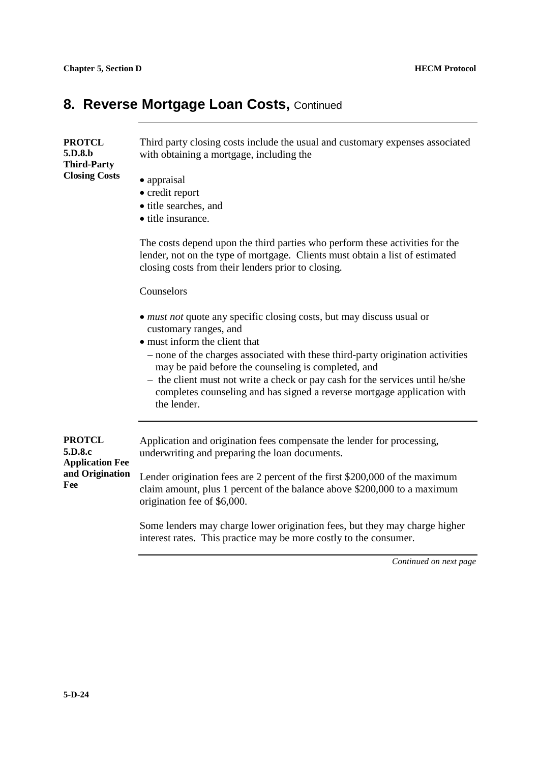#### 8. Reverse Mortgage Loan Costs, Continued

| <b>PROTCL</b><br>5.D.8.b                                                     | Third party closing costs include the usual and customary expenses associated<br>with obtaining a mortgage, including the                                                                                          |
|------------------------------------------------------------------------------|--------------------------------------------------------------------------------------------------------------------------------------------------------------------------------------------------------------------|
| <b>Third-Party</b><br><b>Closing Costs</b>                                   | • appraisal<br>• credit report<br>• title searches, and<br>• title insurance.                                                                                                                                      |
|                                                                              | The costs depend upon the third parties who perform these activities for the<br>lender, not on the type of mortgage. Clients must obtain a list of estimated<br>closing costs from their lenders prior to closing. |
|                                                                              | Counselors                                                                                                                                                                                                         |
|                                                                              | • <i>must not</i> quote any specific closing costs, but may discuss usual or<br>customary ranges, and<br>• must inform the client that                                                                             |
|                                                                              | - none of the charges associated with these third-party origination activities<br>may be paid before the counseling is completed, and                                                                              |
|                                                                              | - the client must not write a check or pay cash for the services until he/she<br>completes counseling and has signed a reverse mortgage application with<br>the lender.                                            |
| <b>PROTCL</b><br>5.D.8.c<br><b>Application Fee</b><br>and Origination<br>Fee | Application and origination fees compensate the lender for processing,<br>underwriting and preparing the loan documents.                                                                                           |
|                                                                              | Lender origination fees are 2 percent of the first \$200,000 of the maximum<br>claim amount, plus 1 percent of the balance above \$200,000 to a maximum<br>origination fee of \$6,000.                             |
|                                                                              | Some lenders may charge lower origination fees, but they may charge higher<br>interest rates. This practice may be more costly to the consumer.                                                                    |